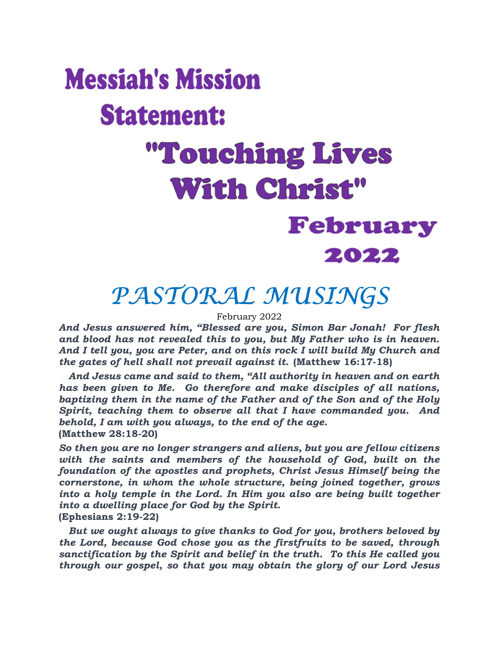# **Messiah's Mission Statement:** "Touching Lives **With Christ"** February 2022

### PASTORAL MUSINGS

February 2022

And Jesus answered him, "Blessed are you, Simon Bar Jonah! For flesh and blood has not revealed this to you, but My Father who is in heaven. And I tell you, you are Peter, and on this rock I will build My Church and the gates of hell shall not prevail against it. (Matthew 16:17-18)

 And Jesus came and said to them, "All authority in heaven and on earth has been given to Me. Go therefore and make disciples of all nations, baptizing them in the name of the Father and of the Son and of the Holy Spirit, teaching them to observe all that I have commanded you. And behold, I am with you always, to the end of the age. (Matthew 28:18-20)

So then you are no longer strangers and aliens, but you are fellow citizens with the saints and members of the household of God, built on the foundation of the apostles and prophets, Christ Jesus Himself being the cornerstone, in whom the whole structure, being joined together, grows into a holy temple in the Lord. In Him you also are being built together into a dwelling place for God by the Spirit. (Ephesians 2:19-22)

 But we ought always to give thanks to God for you, brothers beloved by the Lord, because God chose you as the firstfruits to be saved, through sanctification by the Spirit and belief in the truth. To this He called you through our gospel, so that you may obtain the glory of our Lord Jesus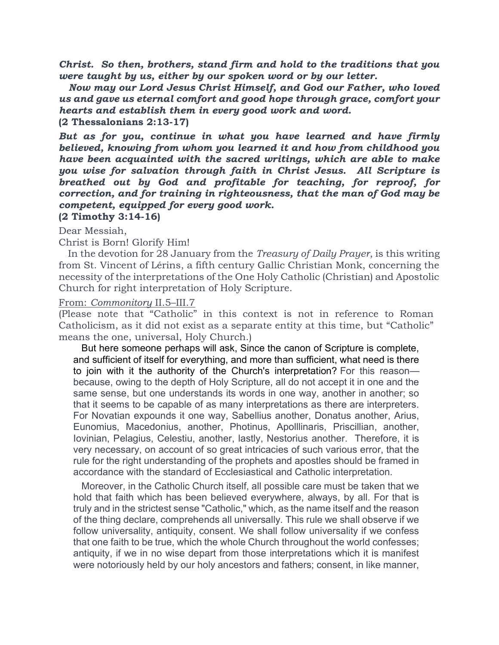Christ. So then, brothers, stand firm and hold to the traditions that you were taught by us, either by our spoken word or by our letter.

 Now may our Lord Jesus Christ Himself, and God our Father, who loved us and gave us eternal comfort and good hope through grace, comfort your hearts and establish them in every good work and word. (2 Thessalonians 2:13-17)

But as for you, continue in what you have learned and have firmly believed, knowing from whom you learned it and how from childhood you have been acquainted with the sacred writings, which are able to make you wise for salvation through faith in Christ Jesus. All Scripture is breathed out by God and profitable for teaching, for reproof, for correction, and for training in righteousness, that the man of God may be competent, equipped for every good work.

#### (2 Timothy 3:14-16)

Dear Messiah,

#### Christ is Born! Glorify Him!

In the devotion for 28 January from the *Treasury of Daily Prayer*, is this writing from St. Vincent of Lérins, a fifth century Gallic Christian Monk, concerning the necessity of the interpretations of the One Holy Catholic (Christian) and Apostolic Church for right interpretation of Holy Scripture.

#### From: Commonitory II.5–III.7

(Please note that "Catholic" in this context is not in reference to Roman Catholicism, as it did not exist as a separate entity at this time, but "Catholic" means the one, universal, Holy Church.)

 But here someone perhaps will ask, Since the canon of Scripture is complete, and sufficient of itself for everything, and more than sufficient, what need is there to join with it the authority of the Church's interpretation? For this reason because, owing to the depth of Holy Scripture, all do not accept it in one and the same sense, but one understands its words in one way, another in another; so that it seems to be capable of as many interpretations as there are interpreters. For Novatian expounds it one way, Sabellius another, Donatus another, Arius, Eunomius, Macedonius, another, Photinus, Apolllinaris, Priscillian, another, Iovinian, Pelagius, Celestiu, another, lastly, Nestorius another. Therefore, it is very necessary, on account of so great intricacies of such various error, that the rule for the right understanding of the prophets and apostles should be framed in accordance with the standard of Ecclesiastical and Catholic interpretation.

 Moreover, in the Catholic Church itself, all possible care must be taken that we hold that faith which has been believed everywhere, always, by all. For that is truly and in the strictest sense "Catholic," which, as the name itself and the reason of the thing declare, comprehends all universally. This rule we shall observe if we follow universality, antiquity, consent. We shall follow universality if we confess that one faith to be true, which the whole Church throughout the world confesses; antiquity, if we in no wise depart from those interpretations which it is manifest were notoriously held by our holy ancestors and fathers; consent, in like manner,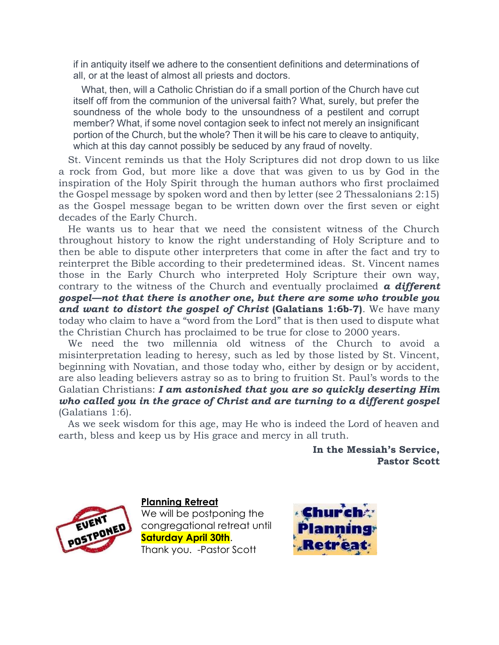if in antiquity itself we adhere to the consentient definitions and determinations of all, or at the least of almost all priests and doctors.

 What, then, will a Catholic Christian do if a small portion of the Church have cut itself off from the communion of the universal faith? What, surely, but prefer the soundness of the whole body to the unsoundness of a pestilent and corrupt member? What, if some novel contagion seek to infect not merely an insignificant portion of the Church, but the whole? Then it will be his care to cleave to antiquity, which at this day cannot possibly be seduced by any fraud of novelty.

 St. Vincent reminds us that the Holy Scriptures did not drop down to us like a rock from God, but more like a dove that was given to us by God in the inspiration of the Holy Spirit through the human authors who first proclaimed the Gospel message by spoken word and then by letter (see 2 Thessalonians 2:15) as the Gospel message began to be written down over the first seven or eight decades of the Early Church.

 He wants us to hear that we need the consistent witness of the Church throughout history to know the right understanding of Holy Scripture and to then be able to dispute other interpreters that come in after the fact and try to reinterpret the Bible according to their predetermined ideas. St. Vincent names those in the Early Church who interpreted Holy Scripture their own way, contrary to the witness of the Church and eventually proclaimed  $a$  different gospel—not that there is another one, but there are some who trouble you and want to distort the gospel of Christ (Galatians 1:6b-7). We have many today who claim to have a "word from the Lord" that is then used to dispute what the Christian Church has proclaimed to be true for close to 2000 years.

 We need the two millennia old witness of the Church to avoid a misinterpretation leading to heresy, such as led by those listed by St. Vincent, beginning with Novatian, and those today who, either by design or by accident, are also leading believers astray so as to bring to fruition St. Paul's words to the Galatian Christians: I am astonished that you are so quickly deserting Him who called you in the grace of Christ and are turning to a different gospel (Galatians 1:6).

 As we seek wisdom for this age, may He who is indeed the Lord of heaven and earth, bless and keep us by His grace and mercy in all truth.

> In the Messiah's Service, Pastor Scott



Planning Retreat

We will be postponing the congregational retreat until Saturday April 30th. Thank you. -Pastor Scott

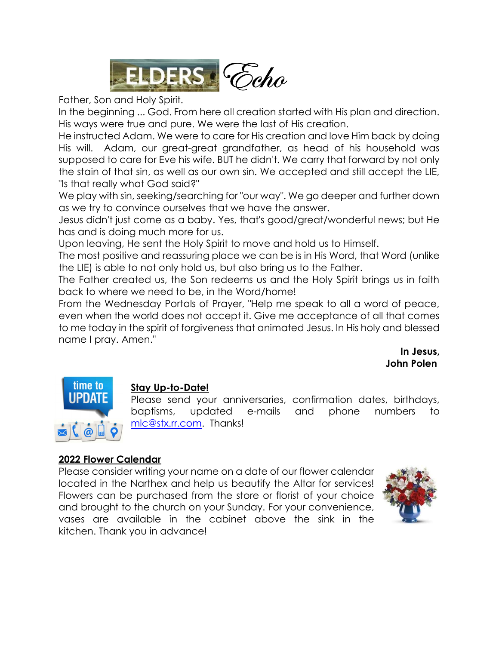

Father, Son and Holy Spirit.

In the beginning ... God. From here all creation started with His plan and direction. His ways were true and pure. We were the last of His creation. e<br>e<br>H

He instructed Adam. We were to care for His creation and love Him back by doing His will. Adam, our great-great grandfather, as head of his household was supposed to care for Eve his wife. BUT he didn't. We carry that forward by not only the stain of that sin, as well as our own sin. We accepted and still accept the LIE, "Is that really what God said?"

We play with sin, seeking/searching for "our way". We go deeper and further down as we try to convince ourselves that we have the answer.

Jesus didn't just come as a baby. Yes, that's good/great/wonderful news; but He has and is doing much more for us.

Upon leaving, He sent the Holy Spirit to move and hold us to Himself.

The most positive and reassuring place we can be is in His Word, that Word (unlike the LIE) is able to not only hold us, but also bring us to the Father.

The Father created us, the Son redeems us and the Holy Spirit brings us in faith back to where we need to be, in the Word/home!

From the Wednesday Portals of Prayer, "Help me speak to all a word of peace, even when the world does not accept it. Give me acceptance of all that comes to me today in the spirit of forgiveness that animated Jesus. In His holy and blessed name I pray. Amen."

> In Jesus, John Polen



#### Stay Up-to-Date!

Please send your anniversaries, confirmation dates, birthdays, baptisms, updated e-mails and phone numbers to mlc@stx.rr.com. Thanks!

#### 2022 Flower Calendar

Please consider writing your name on a date of our flower calendar located in the Narthex and help us beautify the Altar for services! Flowers can be purchased from the store or florist of your choice and brought to the church on your Sunday. For your convenience, vases are available in the cabinet above the sink in the kitchen. Thank you in advance!

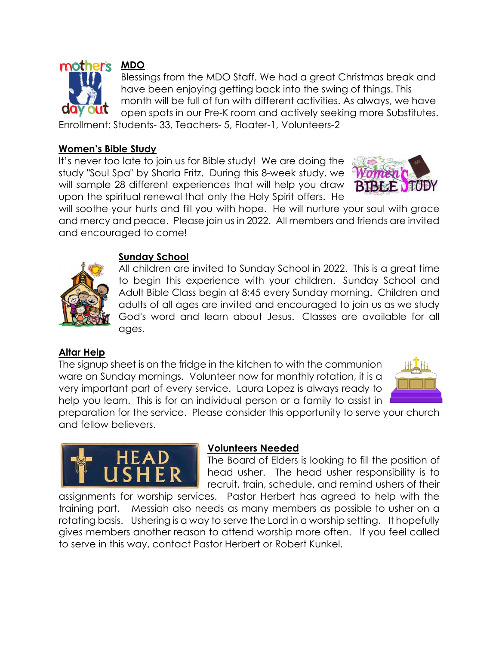

MDO

Blessings from the MDO Staff. We had a great Christmas break and have been enjoying getting back into the swing of things. This month will be full of fun with different activities. As always, we have open spots in our Pre-K room and actively seeking more Substitutes.

Enrollment: Students- 33, Teachers- 5, Floater-1, Volunteers-2

#### Women's Bible Study

It's never too late to join us for Bible study! We are doing the study "Soul Spa" by Sharla Fritz. During this 8-week study, we will sample 28 different experiences that will help you draw upon the spiritual renewal that only the Holy Spirit offers. He



will soothe your hurts and fill you with hope. He will nurture your soul with grace and mercy and peace. Please join us in 2022. All members and friends are invited and encouraged to come!



#### Sunday School

All children are invited to Sunday School in 2022. This is a great time to begin this experience with your children. Sunday School and Adult Bible Class begin at 8:45 every Sunday morning. Children and adults of all ages are invited and encouraged to join us as we study God's word and learn about Jesus. Classes are available for all ages.

#### Altar Help

The signup sheet is on the fridge in the kitchen to with the communion ware on Sunday mornings. Volunteer now for monthly rotation, it is a very important part of every service. Laura Lopez is always ready to help you learn. This is for an individual person or a family to assist in



preparation for the service. Please consider this opportunity to serve your church and fellow believers.



#### Volunteers Needed

The Board of Elders is looking to fill the position of head usher. The head usher responsibility is to recruit, train, schedule, and remind ushers of their

assignments for worship services. Pastor Herbert has agreed to help with the training part. Messiah also needs as many members as possible to usher on a rotating basis. Ushering is a way to serve the Lord in a worship setting. It hopefully gives members another reason to attend worship more often. If you feel called to serve in this way, contact Pastor Herbert or Robert Kunkel.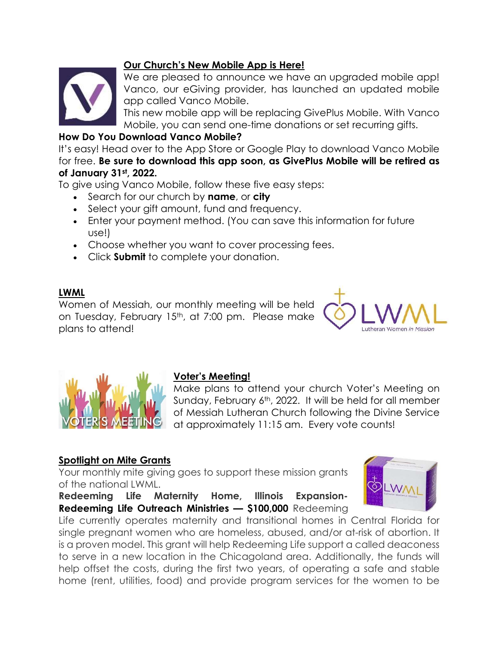#### Our Church's New Mobile App is Here!



We are pleased to announce we have an upgraded mobile app! Vanco, our eGiving provider, has launched an updated mobile app called Vanco Mobile.

This new mobile app will be replacing GivePlus Mobile. With Vanco Mobile, you can send one-time donations or set recurring gifts.

#### How Do You Download Vanco Mobile?

It's easy! Head over to the App Store or Google Play to download Vanco Mobile for free. Be sure to download this app soon, as GivePlus Mobile will be retired as of January 31st, 2022.

To give using Vanco Mobile, follow these five easy steps:

- Search for our church by name, or city
- Select your gift amount, fund and frequency.
- Enter your payment method. (You can save this information for future use!)
- Choose whether you want to cover processing fees.
- Click Submit to complete your donation.

#### LWML

Women of Messiah, our monthly meeting will be held on Tuesday, February 15<sup>th</sup>, at 7:00 pm. Please make plans to attend!





#### Voter's Meeting!

Make plans to attend your church Voter's Meeting on Sunday, February 6th, 2022. It will be held for all member of Messiah Lutheran Church following the Divine Service at approximately 11:15 am. Every vote counts!

#### Spotlight on Mite Grants

Your monthly mite giving goes to support these mission grants of the national LWML.

Redeeming Life Maternity Home, Illinois Expansion-Redeeming Life Outreach Ministries - \$100,000 Redeeming

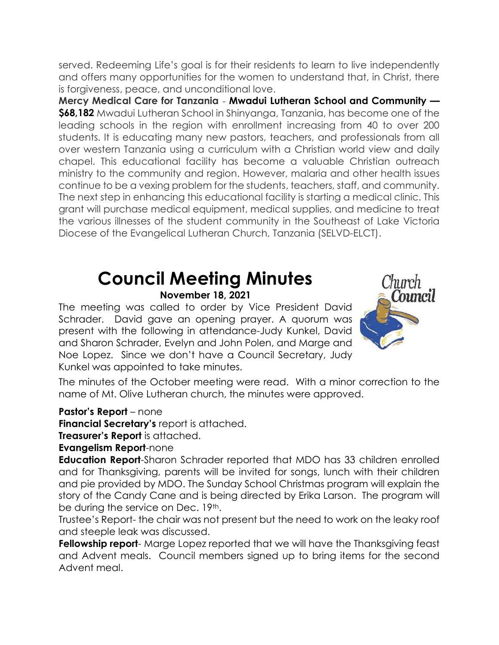served. Redeeming Life's goal is for their residents to learn to live independently and offers many opportunities for the women to understand that, in Christ, there is forgiveness, peace, and unconditional love.

Mercy Medical Care for Tanzania - Mwadui Lutheran School and Community — \$68,182 Mwadui Lutheran School in Shinyanga, Tanzania, has become one of the leading schools in the region with enrollment increasing from 40 to over 200 students. It is educating many new pastors, teachers, and professionals from all over western Tanzania using a curriculum with a Christian world view and daily chapel. This educational facility has become a valuable Christian outreach ministry to the community and region. However, malaria and other health issues continue to be a vexing problem for the students, teachers, staff, and community. The next step in enhancing this educational facility is starting a medical clinic. This grant will purchase medical equipment, medical supplies, and medicine to treat the various illnesses of the student community in the Southeast of Lake Victoria Diocese of the Evangelical Lutheran Church, Tanzania (SELVD-ELCT).

### Council Meeting Minutes

#### November 18, 2021

The meeting was called to order by Vice President David Schrader. David gave an opening prayer. A quorum was present with the following in attendance-Judy Kunkel, David and Sharon Schrader, Evelyn and John Polen, and Marge and Noe Lopez. Since we don't have a Council Secretary, Judy Kunkel was appointed to take minutes.



The minutes of the October meeting were read. With a minor correction to the name of Mt. Olive Lutheran church, the minutes were approved.

#### Pastor's Report – none

Financial Secretary's report is attached.

Treasurer's Report is attached.

Evangelism Report-none

Education Report-Sharon Schrader reported that MDO has 33 children enrolled and for Thanksgiving, parents will be invited for songs, lunch with their children and pie provided by MDO. The Sunday School Christmas program will explain the story of the Candy Cane and is being directed by Erika Larson. The program will be during the service on Dec. 19<sup>th</sup>.

Trustee's Report- the chair was not present but the need to work on the leaky roof and steeple leak was discussed.

Fellowship report- Marge Lopez reported that we will have the Thanksgiving feast and Advent meals. Council members signed up to bring items for the second Advent meal.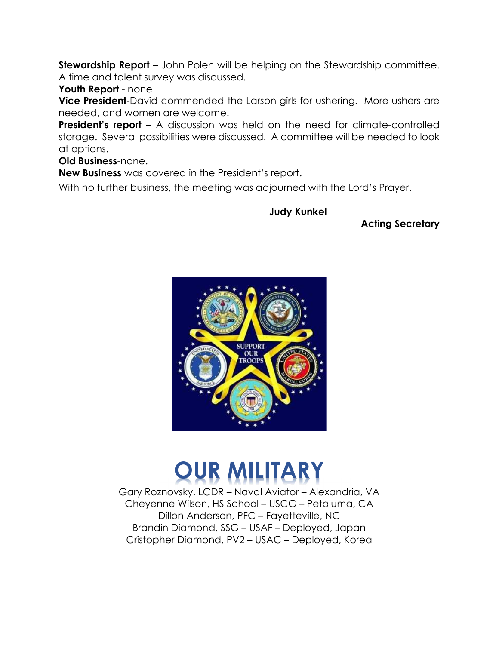**Stewardship Report** – John Polen will be helping on the Stewardship committee. A time and talent survey was discussed.

Youth Report - none

**Vice President-David commended the Larson girls for ushering. More ushers are** needed, and women are welcome.

**President's report** – A discussion was held on the need for climate-controlled storage. Several possibilities were discussed. A committee will be needed to look at options.

Old Business-none.

New Business was covered in the President's report.

With no further business, the meeting was adjourned with the Lord's Prayer.

Judy Kunkel

Acting Secretary



## OUR MILITARY

Gary Roznovsky, LCDR – Naval Aviator – Alexandria, VA Cheyenne Wilson, HS School – USCG – Petaluma, CA Dillon Anderson, PFC – Fayetteville, NC Brandin Diamond, SSG – USAF – Deployed, Japan Cristopher Diamond, PV2 – USAC – Deployed, Korea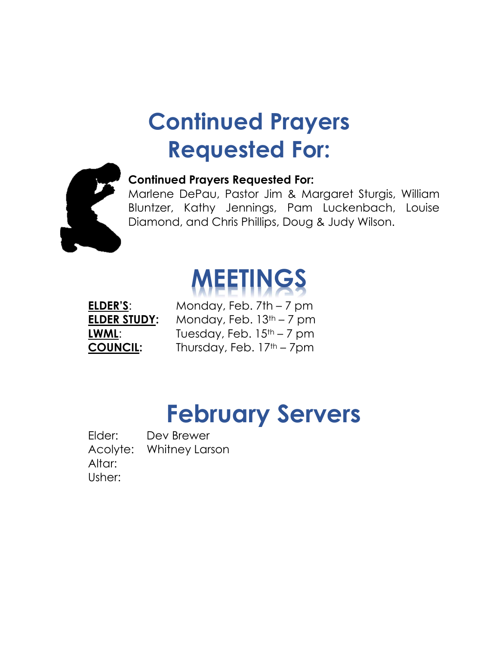### Continued Prayers Requested For:



#### Continued Prayers Requested For:

Marlene DePau, Pastor Jim & Margaret Sturgis, William Bluntzer, Kathy Jennings, Pam Luckenbach, Louise Diamond, and Chris Phillips, Doug & Judy Wilson.

# EETINGS

ELDER'S: Monday, Feb. 7th - 7 pm ELDER STUDY: Monday, Feb. 13<sup>th</sup> – 7 pm **LWML:** Tuesday, Feb.  $15<sup>th</sup> - 7$  pm **COUNCIL:** Thursday, Feb. 17<sup>th</sup> – 7pm

### February Servers

Elder: Dev Brewer Acolyte: Whitney Larson Altar: Usher: